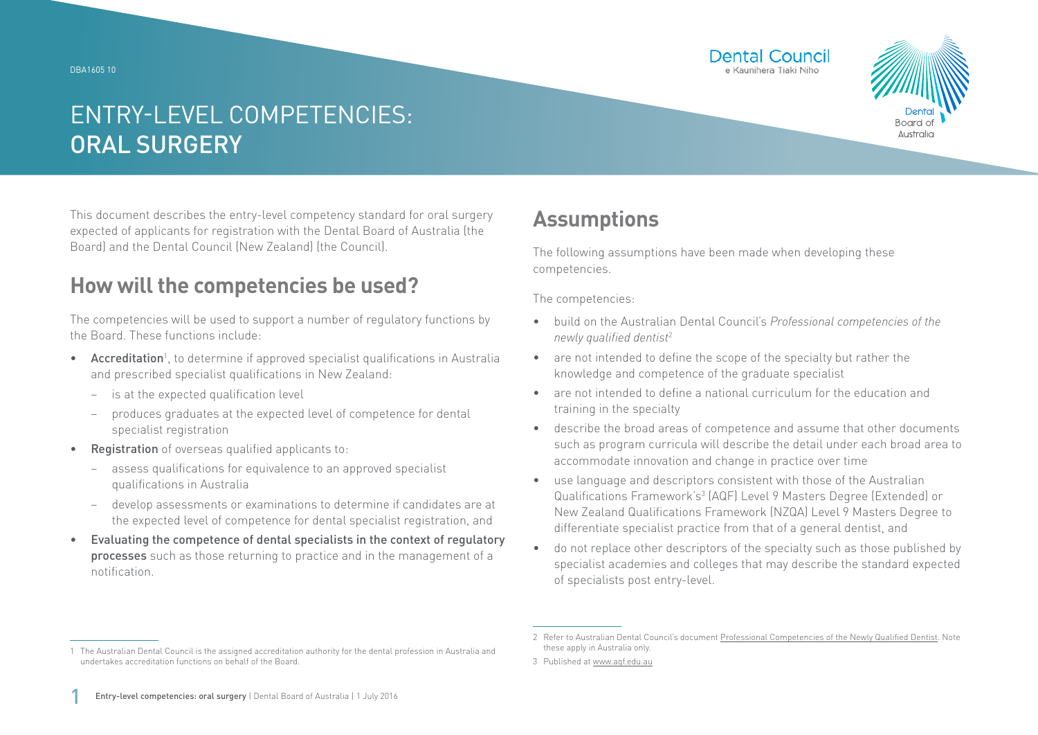DBA1605 10





# ENTRY-LEVEL COMPETENCIES: ORAL SURGERY

This document describes the entry-level competency standard for oral surgery expected of applicants for registration with the Dental Board of Australia (the Board) and the Dental Council (New Zealand) (the Council).

### **How will the competencies be used?**

The competencies will be used to support a number of regulatory functions by the Board. These functions include:

- Accreditation<sup>1</sup>, to determine if approved specialist qualifications in Australia and prescribed specialist qualifications in New Zealand:
	- − is at the expected qualification level
	- − produces graduates at the expected level of competence for dental specialist registration
- Registration of overseas qualified applicants to:
	- assess qualifications for equivalence to an approved specialist qualifications in Australia
	- − develop assessments or examinations to determine if candidates are at the expected level of competence for dental specialist registration, and
- Evaluating the competence of dental specialists in the context of regulatory processes such as those returning to practice and in the management of a notification.

## **Assumptions**

The following assumptions have been made when developing these competencies.

The competencies:

- build on the Australian Dental Council's *Professional competencies of the newly qualified dentist*<sup>2</sup>
- are not intended to define the scope of the specialty but rather the knowledge and competence of the graduate specialist
- are not intended to define a national curriculum for the education and training in the specialty
- describe the broad areas of competence and assume that other documents such as program curricula will describe the detail under each broad area to accommodate innovation and change in practice over time
- use language and descriptors consistent with those of the Australian Qualifications Framework's<sup>3</sup> (AQF) Level 9 Masters Degree (Extended) or New Zealand Qualifications Framework (NZQA) Level 9 Masters Degree to differentiate specialist practice from that of a general dentist, and
- do not replace other descriptors of the specialty such as those published by specialist academies and colleges that may describe the standard expected of specialists post entry-level.

<sup>1</sup> The Australian Dental Council is the assigned accreditation authority for the dental profession in Australia and undertakes accreditation functions on behalf of the Board.

<sup>2</sup> Refer to Australian Dental Council's document [Professional Competencies of the Newly Qualified Dentist.](http://Professional Competencies of the Newly Qualified Dentist) Note these apply in Australia only.

<sup>3</sup> Published at [www.aqf.edu.au](http://www.aqf.edu.au)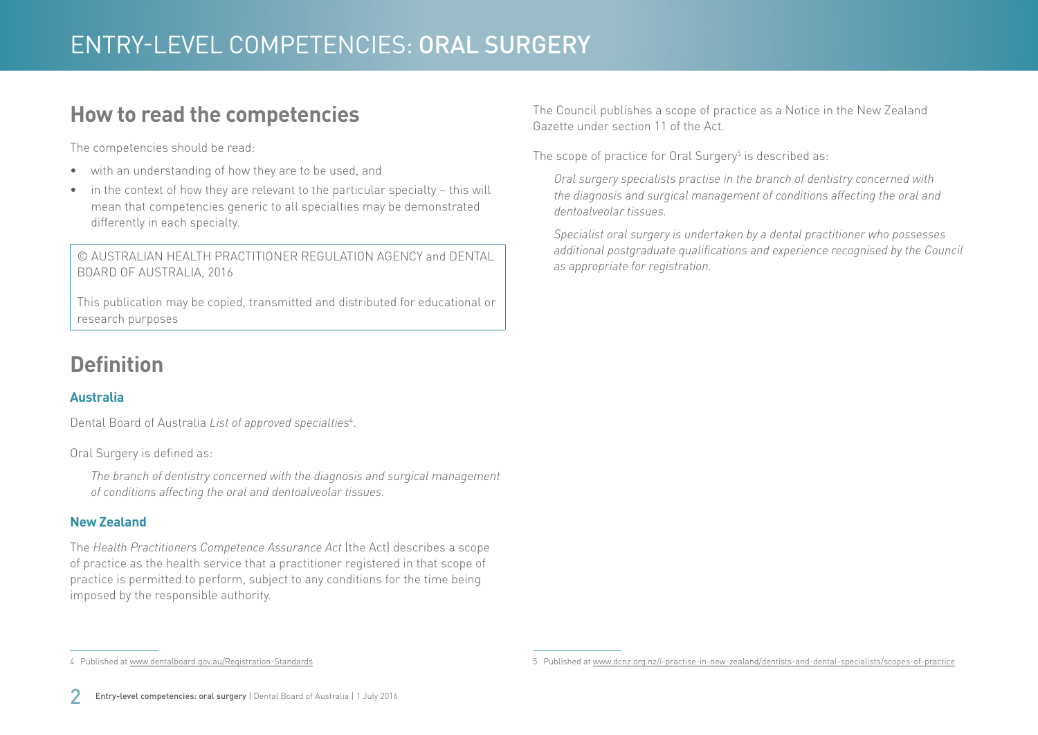### **How to read the competencies**

The competencies should be read:

- with an understanding of how they are to be used, and
- in the context of how they are relevant to the particular specialty this will mean that competencies generic to all specialties may be demonstrated differently in each specialty.

© AUSTRALIAN HEALTH PRACTITIONER REGULATION AGENCY and DENTAL BOARD OF AUSTRALIA, 2016

This publication may be copied, transmitted and distributed for educational or research purposes

## **Definition**

#### **Australia**

Dental Board of Australia *List of approved specialties*<sup>4</sup> .

Oral Surgery is defined as:

*The branch of dentistry concerned with the diagnosis and surgical management of conditions affecting the oral and dentoalveolar tissues.*

#### **New Zealand**

The *Health Practitioners Competence Assurance Act* (the Act) describes a scope of practice as the health service that a practitioner registered in that scope of practice is permitted to perform, subject to any conditions for the time being imposed by the responsible authority.

The Council publishes a scope of practice as a Notice in the New Zealand Gazette under section 11 of the Act.

The scope of practice for Oral Surgery $^5$  is described as:

*Oral surgery specialists practise in the branch of dentistry concerned with the diagnosis and surgical management of conditions affecting the oral and dentoalveolar tissues.*

*Specialist oral surgery is undertaken by a dental practitioner who possesses additional postgraduate qualifications and experience recognised by the Council as appropriate for registration.*

<sup>4</sup> Published at [www.dentalboard.gov.au/Registration-Standards](http://www.dentalboard.gov.au/Registration-Standards.aspx)

<sup>5</sup> Published at [www.dcnz.org.nz/i-practise-in-new-zealand/dentists-and-dental-specialists/scopes-of-practice](http://www.dcnz.org.nz/i-practise-in-new-zealand/dentists-and-dental-specialists/scopes-of-practice)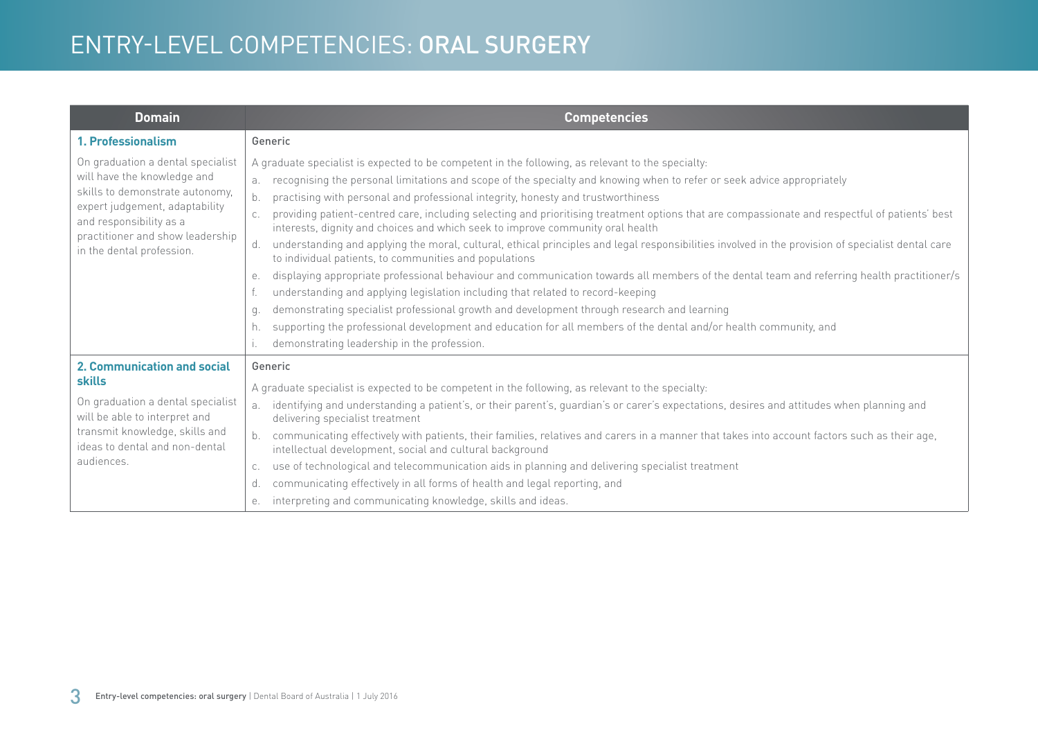| <b>Domain</b>                                                                                                                                                                                                                     | <b>Competencies</b>                                                                                                                                                                                                                                                                                                                                                                                                                                                                                                                                                                                                                                                                                                                                                                                                                                                                                                                                                                                                                                                                                                                                                                                                                                                                                                |
|-----------------------------------------------------------------------------------------------------------------------------------------------------------------------------------------------------------------------------------|--------------------------------------------------------------------------------------------------------------------------------------------------------------------------------------------------------------------------------------------------------------------------------------------------------------------------------------------------------------------------------------------------------------------------------------------------------------------------------------------------------------------------------------------------------------------------------------------------------------------------------------------------------------------------------------------------------------------------------------------------------------------------------------------------------------------------------------------------------------------------------------------------------------------------------------------------------------------------------------------------------------------------------------------------------------------------------------------------------------------------------------------------------------------------------------------------------------------------------------------------------------------------------------------------------------------|
| 1. Professionalism                                                                                                                                                                                                                | Generic                                                                                                                                                                                                                                                                                                                                                                                                                                                                                                                                                                                                                                                                                                                                                                                                                                                                                                                                                                                                                                                                                                                                                                                                                                                                                                            |
| On graduation a dental specialist<br>will have the knowledge and<br>skills to demonstrate autonomy,<br>expert judgement, adaptability<br>and responsibility as a<br>practitioner and show leadership<br>in the dental profession. | A graduate specialist is expected to be competent in the following, as relevant to the specialty:<br>recognising the personal limitations and scope of the specialty and knowing when to refer or seek advice appropriately<br>b.<br>practising with personal and professional integrity, honesty and trustworthiness<br>providing patient-centred care, including selecting and prioritising treatment options that are compassionate and respectful of patients' best<br>interests, dignity and choices and which seek to improve community oral health<br>understanding and applying the moral, cultural, ethical principles and legal responsibilities involved in the provision of specialist dental care<br>d.<br>to individual patients, to communities and populations<br>displaying appropriate professional behaviour and communication towards all members of the dental team and referring health practitioner/s<br>е.<br>understanding and applying legislation including that related to record-keeping<br>demonstrating specialist professional growth and development through research and learning<br>q.<br>supporting the professional development and education for all members of the dental and/or health community, and<br>h.<br>demonstrating leadership in the profession.<br>$\mathsf{L}$ |
| 2. Communication and social<br><b>skills</b><br>On graduation a dental specialist<br>will be able to interpret and<br>transmit knowledge, skills and<br>ideas to dental and non-dental<br>audiences.                              | Generic<br>A graduate specialist is expected to be competent in the following, as relevant to the specialty:<br>identifying and understanding a patient's, or their parent's, guardian's or carer's expectations, desires and attitudes when planning and<br>a.<br>delivering specialist treatment<br>communicating effectively with patients, their families, relatives and carers in a manner that takes into account factors such as their age,<br>intellectual development, social and cultural background<br>use of technological and telecommunication aids in planning and delivering specialist treatment<br>C.<br>communicating effectively in all forms of health and legal reporting, and<br>d.<br>interpreting and communicating knowledge, skills and ideas.<br>е.                                                                                                                                                                                                                                                                                                                                                                                                                                                                                                                                    |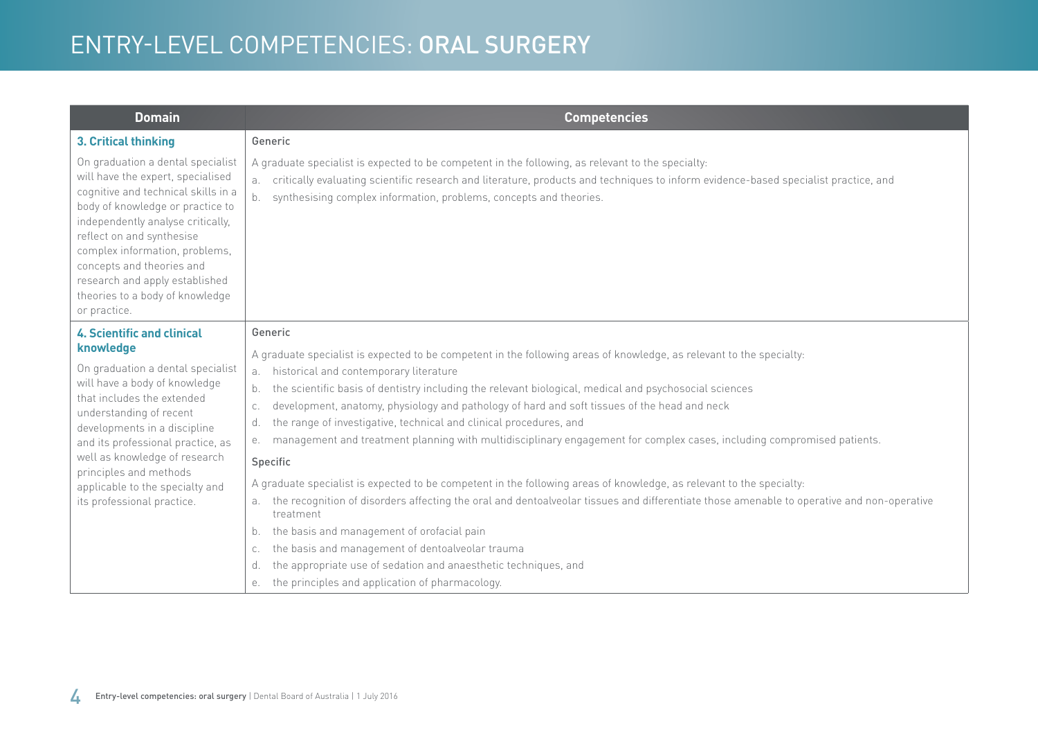| <b>Domain</b>                                                                                                                                                                                                                                                                                                                                                                  | <b>Competencies</b>                                                                                                                                                                                                                                                                                                        |
|--------------------------------------------------------------------------------------------------------------------------------------------------------------------------------------------------------------------------------------------------------------------------------------------------------------------------------------------------------------------------------|----------------------------------------------------------------------------------------------------------------------------------------------------------------------------------------------------------------------------------------------------------------------------------------------------------------------------|
| 3. Critical thinking                                                                                                                                                                                                                                                                                                                                                           | Generic                                                                                                                                                                                                                                                                                                                    |
| On graduation a dental specialist<br>will have the expert, specialised<br>cognitive and technical skills in a<br>body of knowledge or practice to<br>independently analyse critically,<br>reflect on and synthesise<br>complex information, problems,<br>concepts and theories and<br>research and apply established<br>theories to a body of knowledge<br>or practice.        | A graduate specialist is expected to be competent in the following, as relevant to the specialty:<br>critically evaluating scientific research and literature, products and techniques to inform evidence-based specialist practice, and<br>a.<br>synthesising complex information, problems, concepts and theories.<br>b. |
| <b>4. Scientific and clinical</b><br>knowledge<br>On graduation a dental specialist<br>will have a body of knowledge<br>that includes the extended<br>understanding of recent<br>developments in a discipline<br>and its professional practice, as<br>well as knowledge of research<br>principles and methods<br>applicable to the specialty and<br>its professional practice. | Generic                                                                                                                                                                                                                                                                                                                    |
|                                                                                                                                                                                                                                                                                                                                                                                | A graduate specialist is expected to be competent in the following areas of knowledge, as relevant to the specialty:<br>historical and contemporary literature<br>a.                                                                                                                                                       |
|                                                                                                                                                                                                                                                                                                                                                                                | the scientific basis of dentistry including the relevant biological, medical and psychosocial sciences<br>b.                                                                                                                                                                                                               |
|                                                                                                                                                                                                                                                                                                                                                                                | development, anatomy, physiology and pathology of hard and soft tissues of the head and neck<br>C.                                                                                                                                                                                                                         |
|                                                                                                                                                                                                                                                                                                                                                                                | the range of investigative, technical and clinical procedures, and<br>d.<br>management and treatment planning with multidisciplinary engagement for complex cases, including compromised patients.<br>е.                                                                                                                   |
|                                                                                                                                                                                                                                                                                                                                                                                | Specific                                                                                                                                                                                                                                                                                                                   |
|                                                                                                                                                                                                                                                                                                                                                                                | A graduate specialist is expected to be competent in the following areas of knowledge, as relevant to the specialty:                                                                                                                                                                                                       |
|                                                                                                                                                                                                                                                                                                                                                                                | the recognition of disorders affecting the oral and dentoalveolar tissues and differentiate those amenable to operative and non-operative<br>a.<br>treatment                                                                                                                                                               |
|                                                                                                                                                                                                                                                                                                                                                                                | the basis and management of orofacial pain<br>b.                                                                                                                                                                                                                                                                           |
|                                                                                                                                                                                                                                                                                                                                                                                | the basis and management of dentoalveolar trauma<br>C.                                                                                                                                                                                                                                                                     |
|                                                                                                                                                                                                                                                                                                                                                                                | the appropriate use of sedation and anaesthetic techniques, and<br>d.                                                                                                                                                                                                                                                      |
|                                                                                                                                                                                                                                                                                                                                                                                | the principles and application of pharmacology.<br>е.                                                                                                                                                                                                                                                                      |